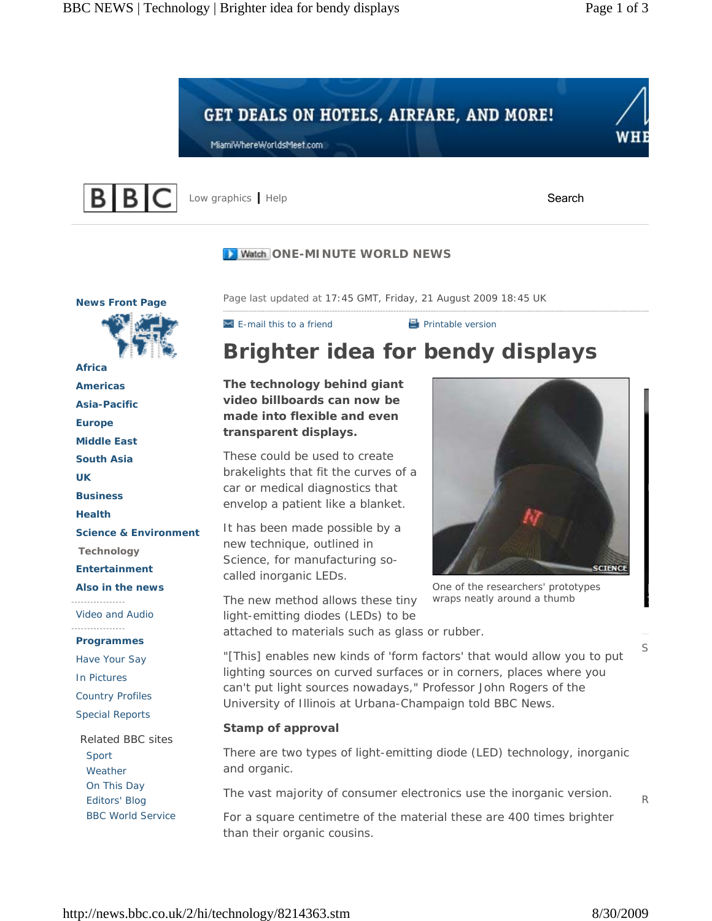

**News Front Page**

**Africa**



**Americas Asia-Pacific Europe Middle East South Asia UK Business Health Science & Environment Technology Entertainment Also in the news** ----------------- Video and Audio ----------------- **Programmes** Have Your Say In Pictures Country Profiles Special Reports Related BBC sites Sport Weather On This Day Editors' Blog BBC World Service

Page last updated at 17:45 GMT, Friday, 21 August 2009 18:45 UK

 $\blacktriangleright$  E-mail this to a friend  $\blacktriangleright$  Printable version

# **Brighter idea for bendy displays**

**The technology behind giant video billboards can now be made into flexible and even transparent displays.**

These could be used to create brakelights that fit the curves of a car or medical diagnostics that envelop a patient like a blanket.

It has been made possible by a new technique, outlined in Science, for manufacturing socalled inorganic LEDs.

The new method allows these tiny light-emitting diodes (LEDs) to be attached to materials such as glass or rubber.



One of the researchers' prototypes wraps neatly around a thumb

S

R

"[This] enables new kinds of 'form factors' that would allow you to put lighting sources on curved surfaces or in corners, places where you can't put light sources nowadays," Professor John Rogers of the University of Illinois at Urbana-Champaign told BBC News.

#### **Stamp of approval**

There are two types of light-emitting diode (LED) technology, inorganic and organic.

The vast majority of consumer electronics use the inorganic version.

For a square centimetre of the material these are 400 times brighter than their organic cousins.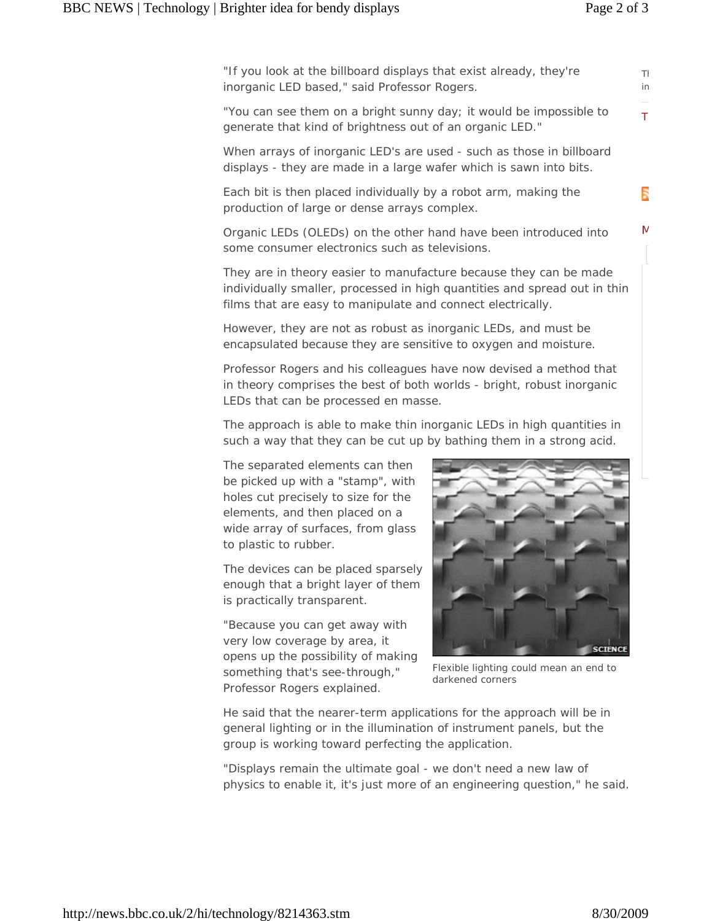| "If you look at the billboard displays that exist already, they're<br>inorganic LED based," said Professor Rogers.                                                                                            | TI<br>in |
|---------------------------------------------------------------------------------------------------------------------------------------------------------------------------------------------------------------|----------|
| "You can see them on a bright sunny day; it would be impossible to<br>generate that kind of brightness out of an organic LED."                                                                                | T.       |
| When arrays of inorganic LED's are used - such as those in billboard<br>displays - they are made in a large wafer which is sawn into bits.                                                                    |          |
| Each bit is then placed individually by a robot arm, making the<br>production of large or dense arrays complex.                                                                                               | Б        |
| Organic LEDs (OLEDs) on the other hand have been introduced into<br>some consumer electronics such as televisions.                                                                                            | M        |
| They are in theory easier to manufacture because they can be made<br>individually smaller, processed in high quantities and spread out in thin<br>films that are easy to manipulate and connect electrically. |          |
| However, they are not as robust as inorganic LEDs, and must be<br>encapsulated because they are sensitive to oxygen and moisture.                                                                             |          |
| Professor Rogers and his colleagues have now devised a method that<br>in theory comprises the best of both worlds - bright, robust inorganic                                                                  |          |

LEDs that can be processed en masse. The approach is able to make thin inorganic LEDs in high quantities in such a way that they can be cut up by bathing them in a strong acid.

The separated elements can then be picked up with a "stamp", with holes cut precisely to size for the elements, and then placed on a wide array of surfaces, from glass to plastic to rubber.

The devices can be placed sparsely enough that a bright layer of them is practically transparent.

"Because you can get away with very low coverage by area, it opens up the possibility of making something that's see-through," Professor Rogers explained.



Flexible lighting could mean an end to darkened corners

He said that the nearer-term applications for the approach will be in general lighting or in the illumination of instrument panels, but the group is working toward perfecting the application.

"Displays remain the ultimate goal - we don't need a new law of physics to enable it, it's just more of an engineering question," he said.